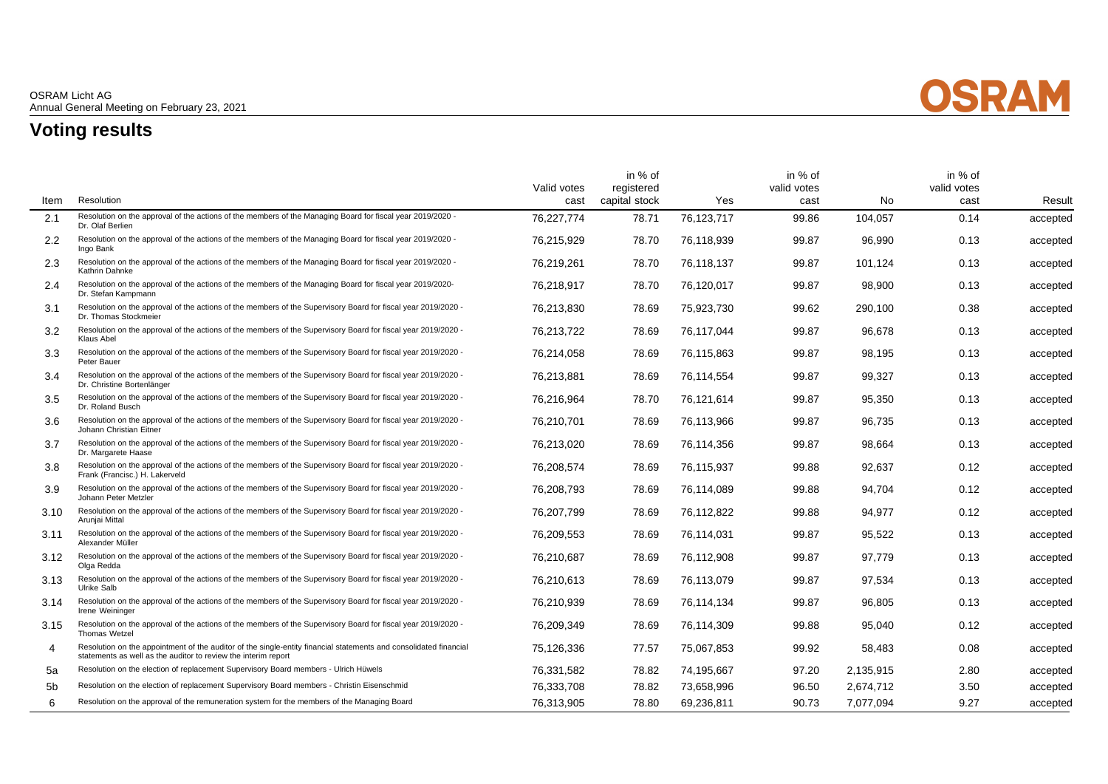

## **Voting results**

 $\overline{\phantom{0}}$ 

 $\overline{\phantom{a}}$ 

|                |                                                                                                                                                                                     | Valid votes | in % of<br>registered |            | in % of<br>valid votes |           | in % of<br>valid votes |          |
|----------------|-------------------------------------------------------------------------------------------------------------------------------------------------------------------------------------|-------------|-----------------------|------------|------------------------|-----------|------------------------|----------|
| Item           | Resolution                                                                                                                                                                          | cast        | capital stock         | Yes        | cast                   | No        | cast                   | Result   |
| 2.1            | Resolution on the approval of the actions of the members of the Managing Board for fiscal year 2019/2020 -<br>Dr. Olaf Berlien                                                      | 76.227.774  | 78.71                 | 76,123,717 | 99.86                  | 104.057   | 0.14                   | accepted |
| 2.2            | Resolution on the approval of the actions of the members of the Managing Board for fiscal year 2019/2020 -<br>Ingo Bank                                                             | 76,215,929  | 78.70                 | 76.118.939 | 99.87                  | 96,990    | 0.13                   | accepted |
| 2.3            | Resolution on the approval of the actions of the members of the Managing Board for fiscal year 2019/2020 -<br>Kathrin Dahnke                                                        | 76,219,261  | 78.70                 | 76.118.137 | 99.87                  | 101.124   | 0.13                   | accepted |
| 2.4            | Resolution on the approval of the actions of the members of the Managing Board for fiscal year 2019/2020-<br>Dr. Stefan Kampmann                                                    | 76.218.917  | 78.70                 | 76.120.017 | 99.87                  | 98.900    | 0.13                   | accepted |
| 3.1            | Resolution on the approval of the actions of the members of the Supervisory Board for fiscal year 2019/2020 -<br>Dr. Thomas Stockmeier                                              | 76.213.830  | 78.69                 | 75,923,730 | 99.62                  | 290.100   | 0.38                   | accepted |
| 3.2            | Resolution on the approval of the actions of the members of the Supervisory Board for fiscal year 2019/2020 -<br>Klaus Abel                                                         | 76,213,722  | 78.69                 | 76.117.044 | 99.87                  | 96,678    | 0.13                   | accepted |
| 3.3            | Resolution on the approval of the actions of the members of the Supervisory Board for fiscal year 2019/2020 -<br>Peter Bauer                                                        | 76,214,058  | 78.69                 | 76,115,863 | 99.87                  | 98,195    | 0.13                   | accepted |
| 3.4            | Resolution on the approval of the actions of the members of the Supervisory Board for fiscal year 2019/2020 -<br>Dr. Christine Bortenlänger                                         | 76,213,881  | 78.69                 | 76,114,554 | 99.87                  | 99,327    | 0.13                   | accepted |
| 3.5            | Resolution on the approval of the actions of the members of the Supervisory Board for fiscal year 2019/2020 -<br>Dr. Roland Busch                                                   | 76,216,964  | 78.70                 | 76,121,614 | 99.87                  | 95,350    | 0.13                   | accepted |
| 3.6            | Resolution on the approval of the actions of the members of the Supervisory Board for fiscal year 2019/2020 -<br>Johann Christian Eitner                                            | 76,210,701  | 78.69                 | 76.113.966 | 99.87                  | 96.735    | 0.13                   | accepted |
| 3.7            | Resolution on the approval of the actions of the members of the Supervisory Board for fiscal year 2019/2020 -<br>Dr. Margarete Haase                                                | 76,213,020  | 78.69                 | 76.114.356 | 99.87                  | 98.664    | 0.13                   | accepted |
| 3.8            | Resolution on the approval of the actions of the members of the Supervisory Board for fiscal year 2019/2020 -<br>Frank (Francisc.) H. Lakerveld                                     | 76,208,574  | 78.69                 | 76,115,937 | 99.88                  | 92,637    | 0.12                   | accepted |
| 3.9            | Resolution on the approval of the actions of the members of the Supervisory Board for fiscal year 2019/2020 -<br>Johann Peter Metzler                                               | 76,208,793  | 78.69                 | 76.114.089 | 99.88                  | 94.704    | 0.12                   | accepted |
| 3.10           | Resolution on the approval of the actions of the members of the Supervisory Board for fiscal year 2019/2020 -<br>Aruniai Mittal                                                     | 76,207,799  | 78.69                 | 76,112,822 | 99.88                  | 94,977    | 0.12                   | accepted |
| 3.11           | Resolution on the approval of the actions of the members of the Supervisory Board for fiscal year 2019/2020 -<br>Alexander Müller                                                   | 76,209,553  | 78.69                 | 76,114,031 | 99.87                  | 95,522    | 0.13                   | accepted |
| 3.12           | Resolution on the approval of the actions of the members of the Supervisory Board for fiscal year 2019/2020 -<br>Olga Redda                                                         | 76.210.687  | 78.69                 | 76.112.908 | 99.87                  | 97.779    | 0.13                   | accepted |
| 3.13           | Resolution on the approval of the actions of the members of the Supervisory Board for fiscal year 2019/2020 -<br>Ulrike Salb                                                        | 76,210,613  | 78.69                 | 76.113.079 | 99.87                  | 97.534    | 0.13                   | accepted |
| 3.14           | Resolution on the approval of the actions of the members of the Supervisory Board for fiscal year 2019/2020 -<br>Irene Weininger                                                    | 76,210,939  | 78.69                 | 76.114.134 | 99.87                  | 96,805    | 0.13                   | accepted |
| 3.15           | Resolution on the approval of the actions of the members of the Supervisory Board for fiscal year 2019/2020 -<br>Thomas Wetzel                                                      | 76,209,349  | 78.69                 | 76,114,309 | 99.88                  | 95,040    | 0.12                   | accepted |
| 4              | Resolution on the appointment of the auditor of the single-entity financial statements and consolidated financial<br>statements as well as the auditor to review the interim report | 75,126,336  | 77.57                 | 75,067,853 | 99.92                  | 58,483    | 0.08                   | accepted |
| 5a             | Resolution on the election of replacement Supervisory Board members - Ulrich Hüwels                                                                                                 | 76,331,582  | 78.82                 | 74.195.667 | 97.20                  | 2,135,915 | 2.80                   | accepted |
| 5 <sub>b</sub> | Resolution on the election of replacement Supervisory Board members - Christin Eisenschmid                                                                                          | 76,333,708  | 78.82                 | 73,658,996 | 96.50                  | 2,674,712 | 3.50                   | accepted |
| 6              | Resolution on the approval of the remuneration system for the members of the Managing Board                                                                                         | 76,313,905  | 78.80                 | 69,236,811 | 90.73                  | 7,077,094 | 9.27                   | accepted |